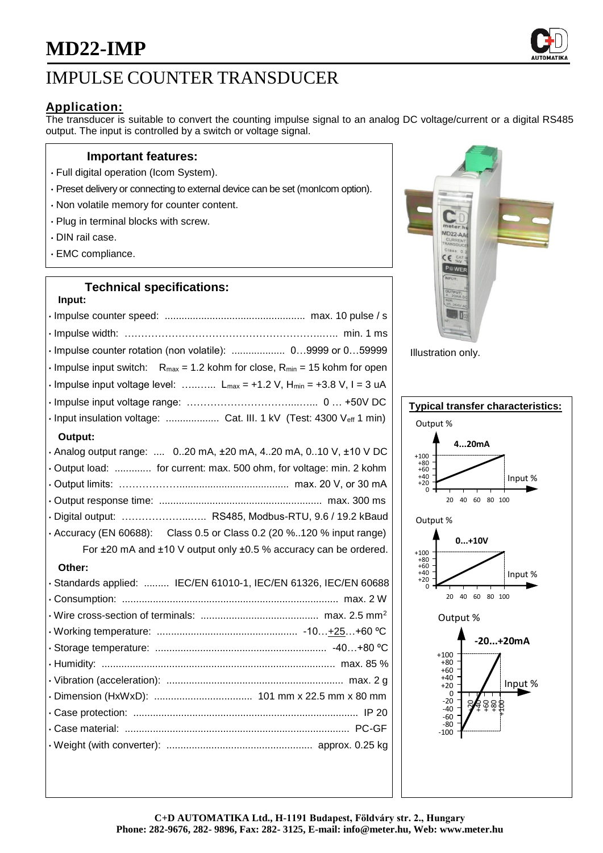

# IMPULSE COUNTER TRANSDUCER

## **Application:**

The transducer is suitable to convert the counting impulse signal to an analog DC voltage/current or a digital RS485 output. The input is controlled by a switch or voltage signal.

### **Important features:**

- Full digital operation (Icom System).
- Preset delivery or connecting to external device can be set (monIcom option).
- Non volatile memory for counter content.
- Plug in terminal blocks with screw.
- DIN rail case.
- EMC compliance.

## **Technical specifications:**

| Input:                                                                                                   |
|----------------------------------------------------------------------------------------------------------|
|                                                                                                          |
|                                                                                                          |
| · Impulse counter rotation (non volatile):  09999 or 059999                                              |
| $\cdot$ Impulse input switch: R <sub>max</sub> = 1.2 kohm for close, R <sub>min</sub> = 15 kohm for open |
| $\cdot$ Impulse input voltage level:  L <sub>max</sub> = +1.2 V, H <sub>min</sub> = +3.8 V, I = 3 uA     |
|                                                                                                          |
| · Input insulation voltage:  Cat. III. 1 kV (Test: 4300 Veff 1 min)                                      |
| Output:                                                                                                  |
| . Analog output range:  020 mA, $\pm 20$ mA, 420 mA, 010 V, $\pm 10$ V DC                                |
| . Output load:  for current: max. 500 ohm, for voltage: min. 2 kohm                                      |
|                                                                                                          |
|                                                                                                          |
| · Digital output:  RS485, Modbus-RTU, 9.6 / 19.2 kBaud                                                   |
| • Accuracy (EN 60688): Class 0.5 or Class 0.2 (20 %120 % input range)                                    |
| For ±20 mA and ±10 V output only ±0.5 % accuracy can be ordered.                                         |
| Other:                                                                                                   |
| · Standards applied:  IEC/EN 61010-1, IEC/EN 61326, IEC/EN 60688                                         |
|                                                                                                          |
|                                                                                                          |
|                                                                                                          |
|                                                                                                          |
|                                                                                                          |
|                                                                                                          |
|                                                                                                          |
|                                                                                                          |
|                                                                                                          |
|                                                                                                          |
|                                                                                                          |



Illustration only.